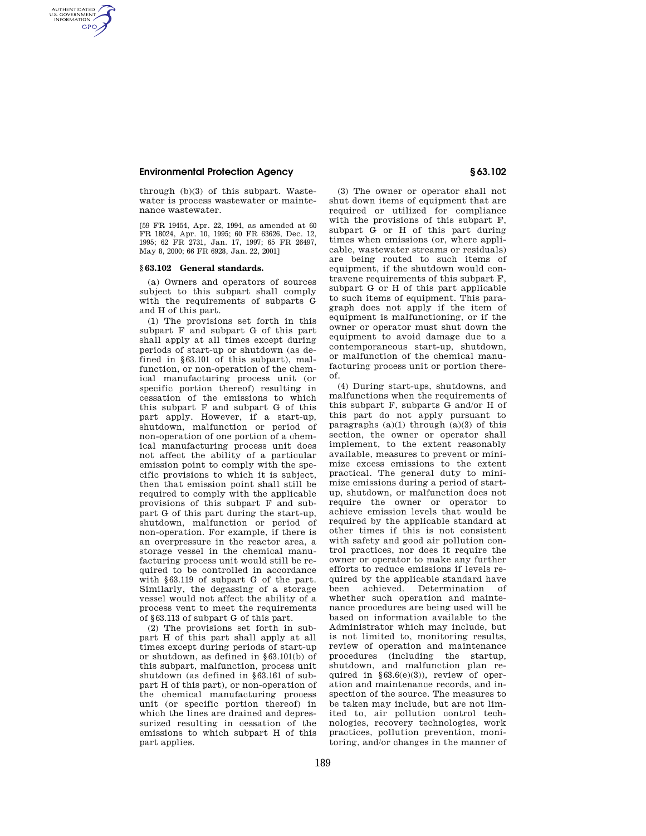## **Environmental Protection Agency § 63.102**

AUTHENTICATED<br>U.S. GOVERNMENT<br>INFORMATION **GPO** 

> through (b)(3) of this subpart. Wastewater is process wastewater or maintenance wastewater.

> [59 FR 19454, Apr. 22, 1994, as amended at 60 FR 18024, Apr. 10, 1995; 60 FR 63626, Dec. 12, 1995; 62 FR 2731, Jan. 17, 1997; 65 FR 26497, May 8, 2000; 66 FR 6928, Jan. 22, 2001]

## **§ 63.102 General standards.**

(a) Owners and operators of sources subject to this subpart shall comply with the requirements of subparts G and H of this part.

(1) The provisions set forth in this subpart F and subpart G of this part shall apply at all times except during periods of start-up or shutdown (as defined in §63.101 of this subpart), malfunction, or non-operation of the chemical manufacturing process unit (or specific portion thereof) resulting in cessation of the emissions to which this subpart F and subpart G of this part apply. However, if a start-up, shutdown, malfunction or period of non-operation of one portion of a chemical manufacturing process unit does not affect the ability of a particular emission point to comply with the specific provisions to which it is subject, then that emission point shall still be required to comply with the applicable provisions of this subpart F and subpart G of this part during the start-up, shutdown, malfunction or period of non-operation. For example, if there is an overpressure in the reactor area, a storage vessel in the chemical manufacturing process unit would still be required to be controlled in accordance with §63.119 of subpart G of the part. Similarly, the degassing of a storage vessel would not affect the ability of a process vent to meet the requirements of §63.113 of subpart G of this part.

(2) The provisions set forth in subpart H of this part shall apply at all times except during periods of start-up or shutdown, as defined in §63.101(b) of this subpart, malfunction, process unit shutdown (as defined in §63.161 of subpart H of this part), or non-operation of the chemical manufacturing process unit (or specific portion thereof) in which the lines are drained and depressurized resulting in cessation of the emissions to which subpart H of this part applies.

(3) The owner or operator shall not

shut down items of equipment that are required or utilized for compliance with the provisions of this subpart F, subpart G or H of this part during times when emissions (or, where applicable, wastewater streams or residuals) are being routed to such items of equipment, if the shutdown would contravene requirements of this subpart F, subpart G or H of this part applicable to such items of equipment. This paragraph does not apply if the item of equipment is malfunctioning, or if the owner or operator must shut down the equipment to avoid damage due to a contemporaneous start-up, shutdown, or malfunction of the chemical manufacturing process unit or portion thereof.

(4) During start-ups, shutdowns, and malfunctions when the requirements of this subpart F, subparts G and/or H of this part do not apply pursuant to paragraphs  $(a)(1)$  through  $(a)(3)$  of this section, the owner or operator shall implement, to the extent reasonably available, measures to prevent or minimize excess emissions to the extent practical. The general duty to minimize emissions during a period of startup, shutdown, or malfunction does not require the owner or operator to achieve emission levels that would be required by the applicable standard at other times if this is not consistent with safety and good air pollution control practices, nor does it require the owner or operator to make any further efforts to reduce emissions if levels required by the applicable standard have been achieved. Determination of whether such operation and maintenance procedures are being used will be based on information available to the Administrator which may include, but is not limited to, monitoring results, review of operation and maintenance procedures (including the startup, shutdown, and malfunction plan required in  $§63.6(e)(3)$ , review of operation and maintenance records, and inspection of the source. The measures to be taken may include, but are not limited to, air pollution control technologies, recovery technologies, work practices, pollution prevention, monitoring, and/or changes in the manner of